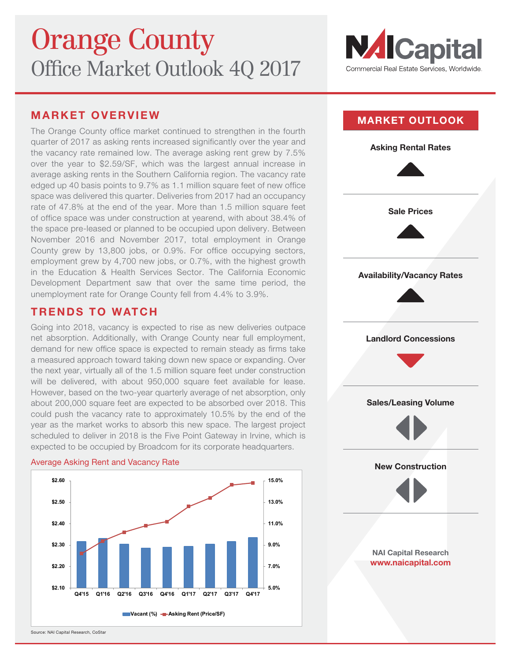

# **MARKET OVERVIEW**

The Orange County office market continued to strengthen in the fourth quarter of 2017 as asking rents increased significantly over the year and the vacancy rate remained low. The average asking rent grew by 7.5% over the year to \$2.59/SF, which was the largest annual increase in average asking rents in the Southern California region. The vacancy rate edged up 40 basis points to 9.7% as 1.1 million square feet of new office space was delivered this quarter. Deliveries from 2017 had an occupancy rate of 47.8% at the end of the year. More than 1.5 million square feet of office space was under construction at yearend, with about 38.4% of the space pre-leased or planned to be occupied upon delivery. Between November 2016 and November 2017, total employment in Orange County grew by 13,800 jobs, or 0.9%. For office occupying sectors, employment grew by 4,700 new jobs, or 0.7%, with the highest growth in the Education & Health Services Sector. The California Economic Development Department saw that over the same time period, the unemployment rate for Orange County fell from 4.4% to 3.9%.

## **TRENDS TO WATCH**

Going into 2018, vacancy is expected to rise as new deliveries outpace net absorption. Additionally, with Orange County near full employment, demand for new office space is expected to remain steady as firms take a measured approach toward taking down new space or expanding. Over the next year, virtually all of the 1.5 million square feet under construction will be delivered, with about 950,000 square feet available for lease. However, based on the two-year quarterly average of net absorption, only about 200,000 square feet are expected to be absorbed over 2018. This could push the vacancy rate to approximately 10.5% by the end of the year as the market works to absorb this new space. The largest project scheduled to deliver in 2018 is the Five Point Gateway in Irvine, which is expected to be occupied by Broadcom for its corporate headquarters.

### Average Asking Rent and Vacancy Rate





Source: NAI Capital Research, CoStar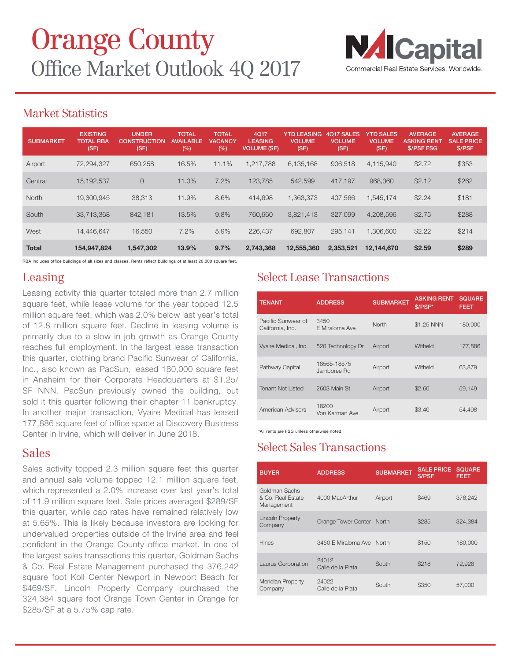

# Market Statistics

| <b>SUBMARKET</b> | <b>EXISTING</b><br><b>TOTAL RBA</b><br>(SF) | <b>UNDER</b><br><b>CONSTRUCTION</b><br>(SF) | <b>TOTAL</b><br><b>AVAILABLE</b><br>(%) | <b>TOTAL</b><br><b>VACANCY</b><br>(%) | 4Q17<br><b>LEASING</b><br><b>VOLUME (SF)</b> | <b>YTD LEASING</b><br><b>VOLUME</b><br>(SF) | 4Q17 SALES<br><b>VOLUME</b><br>(SF) | <b>YTD SALES</b><br><b>VOLUME</b><br>(SF) | <b>AVERAGE</b><br><b>ASKING RENT</b><br><b>S/PSF FSG</b> | <b>AVERAGE</b><br><b>SALE PRICE</b><br>\$/PSF |
|------------------|---------------------------------------------|---------------------------------------------|-----------------------------------------|---------------------------------------|----------------------------------------------|---------------------------------------------|-------------------------------------|-------------------------------------------|----------------------------------------------------------|-----------------------------------------------|
| Airport          | 72,294,327                                  | 650,258                                     | 16.5%                                   | 11.1%                                 | .217.788                                     | 6.135.168                                   | 906,518                             | 4,115,940                                 | \$2.72                                                   | \$353                                         |
| Central          | 15,192,537                                  | $\circ$                                     | 11.0%                                   | 7.2%                                  | 123.785                                      | 542.599                                     | 417.197                             | 968,360                                   | \$2.12                                                   | \$262                                         |
| North            | 19.300.945                                  | 38,313                                      | 11.9%                                   | 8.6%                                  | 414.698                                      | 1.363.373                                   | 407.566                             | 1.545.174                                 | \$2.24                                                   | \$181                                         |
| South            | 33.713.368                                  | 842.181                                     | 13.5%                                   | 9.8%                                  | 760,660                                      | 3,821,413                                   | 327,099                             | 4,208,596                                 | \$2.75                                                   | \$288                                         |
| West             | 14.446.647                                  | 16,550                                      | 7.2%                                    | 5.9%                                  | 226,437                                      | 692,807                                     | 295.141                             | 1,306,600                                 | \$2.22                                                   | \$214                                         |
| <b>Total</b>     | 154,947,824                                 | 1,547,302                                   | 13.9%                                   | 9.7%                                  | 2,743,368                                    | 12,555,360                                  | 2,353,521                           | 12,144,670                                | \$2.59                                                   | \$289                                         |

RBA includes office buildings of all sizes and classes. Rents reflect buildings of at least 20,000 square feet.

# Leasing

Leasing activity this quarter totaled more than 2.7 million square feet, while lease volume for the year topped 12.5 million square feet, which was 2.0% below last year's total of 12.8 million square feet. Decline in leasing volume is primarily due to a slow in job growth as Orange County reaches full employment. In the largest lease transaction this quarter, clothing brand Pacific Sunwear of California, Inc., also known as PacSun, leased 180,000 square feet in Anaheim for their Corporate Headquarters at \$1.25/ SF NNN. PacSun previously owned the building, but sold it this quarter following their chapter 11 bankruptcy. In another major transaction, Vyaire Medical has leased 177,886 square feet of office space at Discovery Business Center in Irvine, which will deliver in June 2018.

# Sales

Sales activity topped 2.3 million square feet this quarter and annual sale volume topped 12.1 million square feet, which represented a 2.0% increase over last year's total of 11.9 million square feet. Sale prices averaged \$289/SF this quarter, while cap rates have remained relatively low at 5.65%. This is likely because investors are looking for undervalued properties outside of the Irvine area and feel confident in the Orange County office market. In one of the largest sales transactions this quarter, Goldman Sachs & Co. Real Estate Management purchased the 376,242 square foot Koll Center Newport in Newport Beach for \$469/SF. Lincoln Property Company purchased the 324,384 square foot Orange Town Center in Orange for \$285/SF at a 5.75% cap rate.

# Select Lease Transactions

| <b>TENANT</b>                          | <b>ADDRESS</b>             | <b>SUBMARKET</b> | <b>ASKING RENT</b><br>\$/PSF* | <b>SQUARE</b><br><b>FEET</b> |
|----------------------------------------|----------------------------|------------------|-------------------------------|------------------------------|
| Pacific Sunwear of<br>California, Inc. | 3450<br>E Miraloma Ave     | North            | \$1.25 NNN                    | 180,000                      |
| Vyaire Medical, Inc.                   | 520 Technology Dr          | Airport          | Witheld                       | 177,886                      |
| Pathway Capital                        | 18565-18575<br>Jamboree Rd | Airport          | Witheld                       | 63,879                       |
| <b>Tenant Not Listed</b>               | 2603 Main St               | Airport          | \$2.60                        | 59,149                       |
| American Advisors                      | 18200<br>Von Karman Ave    | Airport          | \$3.40                        | 54.408                       |

\*All rents are FSG unless otherwise noted

# Select Sales Transactions

| <b>BUYER</b>                                     | <b>ADDRESS</b>             | <b>SUBMARKET</b> | <b>SALE PRICE</b><br>\$/PSF | <b>SQUARE</b><br>FEET |
|--------------------------------------------------|----------------------------|------------------|-----------------------------|-----------------------|
| Goldman Sachs<br>& Co. Real Estate<br>Management | 4000 MacArthur             | Airport          | \$469                       | 376,242               |
| <b>Lincoln Property</b><br>Company               | Orange Tower Center North  |                  | \$285                       | 324.384               |
| <b>Hines</b>                                     | 3450 E Miraloma Ave North  |                  | \$150                       | 180,000               |
| Laurus Corporation                               | 24012<br>Calle de la Plata | South            | \$218                       | 72,928                |
| Meridian Property<br>Company                     | 24022<br>Calle de la Plata | South            | \$350                       | 57,000                |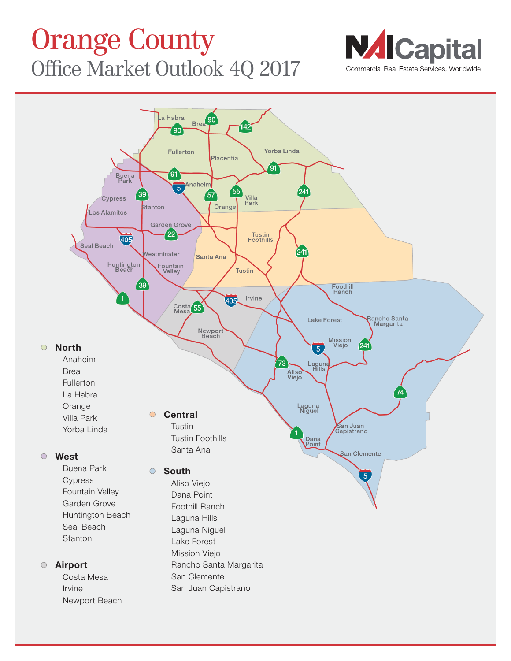